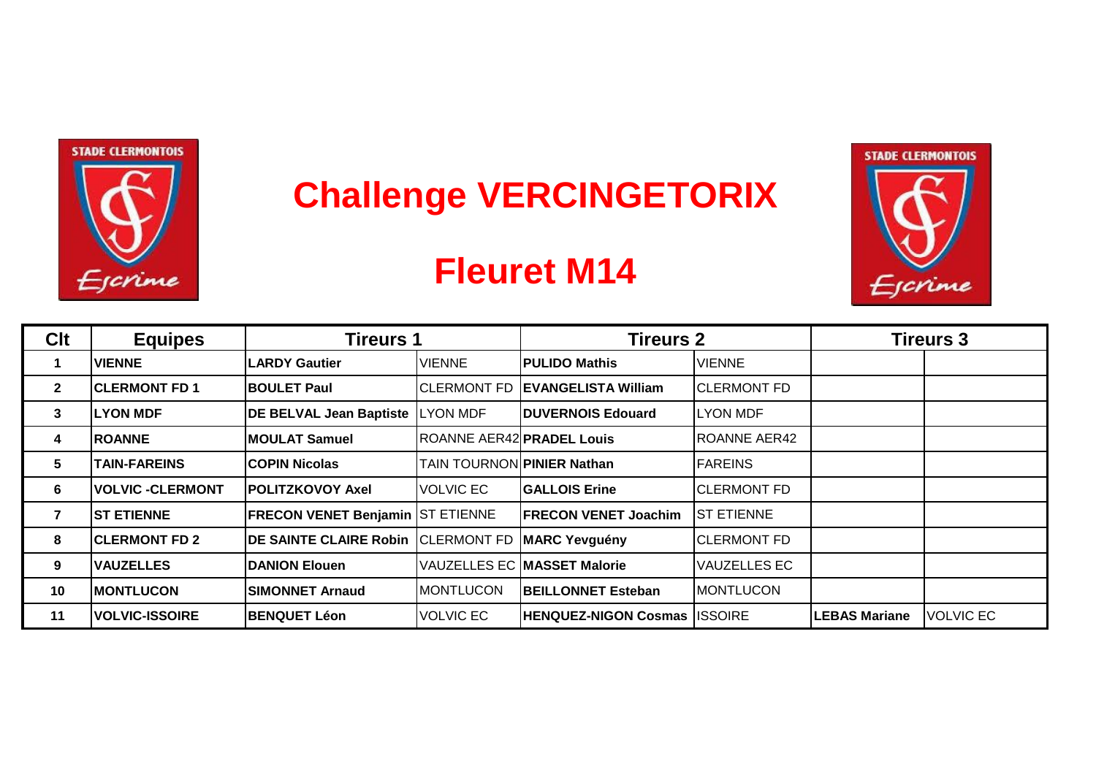

## **Challenge VERCINGETORIX**

## **Fleuret M14**



| <b>Clt</b>   | <b>Equipes</b>          | <b>Tireurs 1</b>                        |                                    | <b>Tireurs 2</b>                      |                     | <b>Tireurs 3</b>      |                  |
|--------------|-------------------------|-----------------------------------------|------------------------------------|---------------------------------------|---------------------|-----------------------|------------------|
|              | <b>VIENNE</b>           | <b>LARDY Gautier</b>                    | <b>VIENNE</b>                      | <b>PULIDO Mathis</b>                  | <b>VIENNE</b>       |                       |                  |
| $\mathbf{2}$ | <b>ICLERMONT FD 1</b>   | <b>BOULET Paul</b>                      | ICLERMONT FD                       | <b>EVANGELISTA William</b>            | <b>ICLERMONT FD</b> |                       |                  |
| 3            | <b>LYON MDF</b>         | <b>DE BELVAL Jean Baptiste</b>          | <b>LYON MDF</b>                    | DUVERNOIS Edouard                     | <b>LYON MDF</b>     |                       |                  |
| 4            | <b>ROANNE</b>           | <b>MOULAT Samuel</b>                    | IROANNE AER42 <b>IPRADEL Louis</b> |                                       | ROANNE AER42        |                       |                  |
| 5            | <b>TAIN-FAREINS</b>     | <b>ICOPIN Nicolas</b>                   | TAIN TOURNON PINIER Nathan         |                                       | IFAREINS            |                       |                  |
| 6            | <b>VOLVIC -CLERMONT</b> | POLITZKOVOY Axel                        | <b>VOLVIC EC</b>                   | <b>IGALLOIS Erine</b>                 | <b>CLERMONT FD</b>  |                       |                  |
|              | <b>ST ETIENNE</b>       | <b>FRECON VENET Benjamin ST ETIENNE</b> |                                    | <b>FRECON VENET Joachim</b>           | <b>ST ETIENNE</b>   |                       |                  |
| 8            | <b>CLERMONT FD 2</b>    | <b>DE SAINTE CLAIRE Robin</b>           | <b>CLERMONT FD</b>                 | <b>MARC Yevguény</b>                  | <b>CLERMONT FD</b>  |                       |                  |
| 9            | <b>VAUZELLES</b>        | <b>DANION Elouen</b>                    |                                    | <b>VAUZELLES EC MASSET Malorie</b>    | VAUZELLES EC        |                       |                  |
| 10           | <b>IMONTLUCON</b>       | <b>SIMONNET Arnaud</b>                  | <b>MONTLUCON</b>                   | <b>BEILLONNET Esteban</b>             | <b>IMONTLUCON</b>   |                       |                  |
| 11           | <b>VOLVIC-ISSOIRE</b>   | <b>BENQUET Léon</b>                     | <b>VOLVIC EC</b>                   | <b>HENQUEZ-NIGON Cosmas I</b> ISSOIRE |                     | <b>ILEBAS Mariane</b> | <b>VOLVIC EC</b> |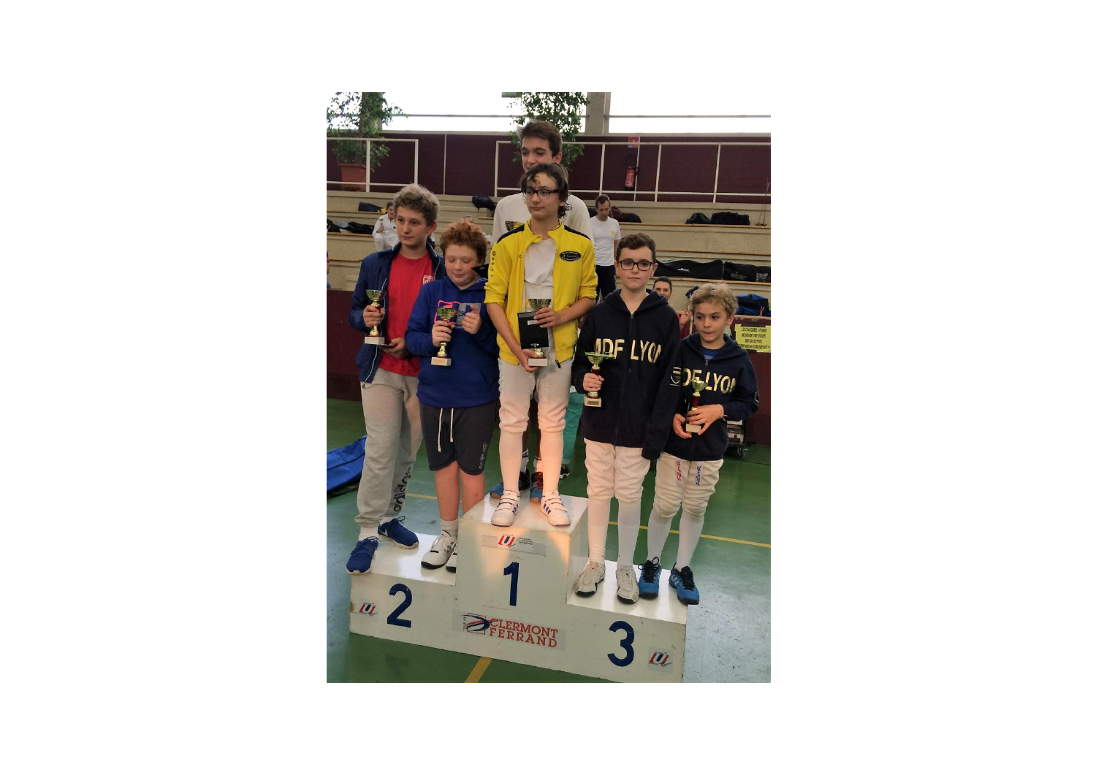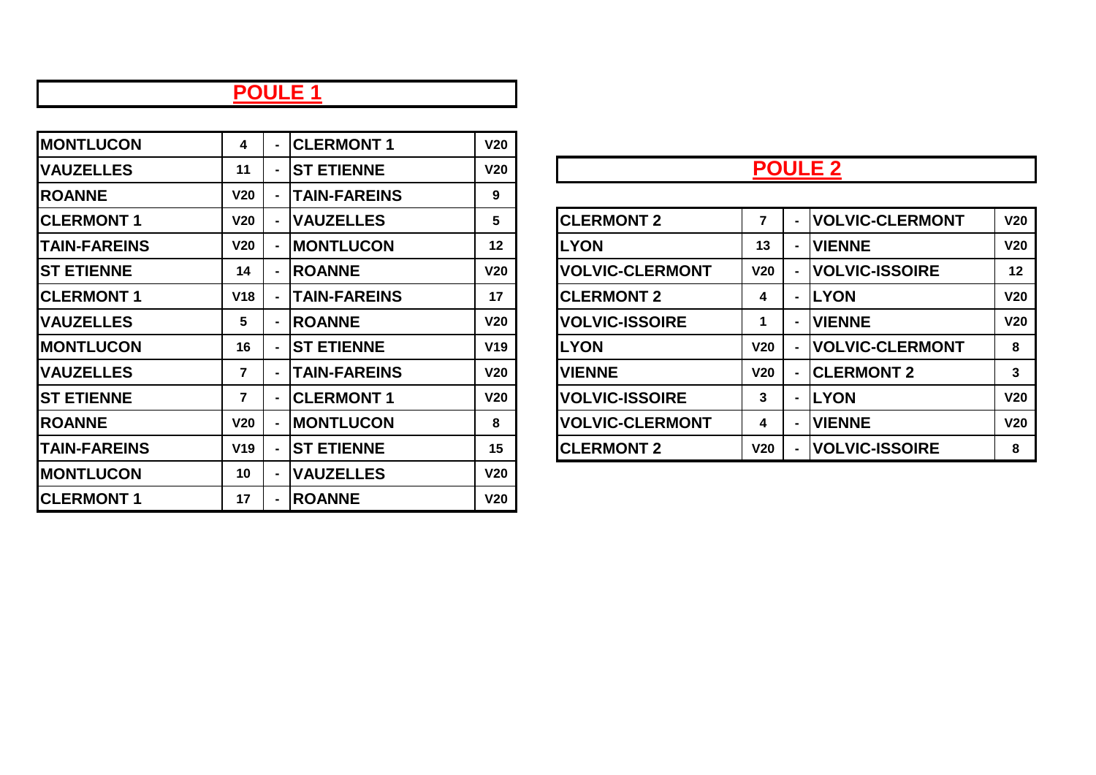## **POULE 1**

| <b>MONTLUCON</b>     | 4   |                | <b>CLERMONT 1</b>   | V20             |                        |                 |                |                        |                 |
|----------------------|-----|----------------|---------------------|-----------------|------------------------|-----------------|----------------|------------------------|-----------------|
| <b>IVAUZELLES</b>    | 11  |                | <b>ST ETIENNE</b>   | V20             |                        |                 |                | <b>POULE 2</b>         |                 |
| <b>IROANNE</b>       | V20 |                | <b>TAIN-FAREINS</b> | 9               |                        |                 |                |                        |                 |
| <b>ICLERMONT 1</b>   | V20 |                | <b>VAUZELLES</b>    | 5               | <b>CLERMONT 2</b>      | $\mathbf{7}$    | $\blacksquare$ | <b>VOLVIC-CLERMONT</b> | V <sub>20</sub> |
| <b>ITAIN-FAREINS</b> | V20 |                | <b>MONTLUCON</b>    | $12 \,$         | <b>LYON</b>            | 13              |                | <b>VIENNE</b>          | V20             |
| <b>IST ETIENNE</b>   | 14  |                | <b>ROANNE</b>       | V20             | <b>VOLVIC-CLERMONT</b> | <b>V20</b>      |                | <b>VOLVIC-ISSOIRE</b>  | 12              |
| <b>ICLERMONT 1</b>   | V18 |                | <b>TAIN-FAREINS</b> | 17              | <b>CLERMONT 2</b>      | 4               | $\blacksquare$ | <b>LYON</b>            | V <sub>20</sub> |
| <b>IVAUZELLES</b>    | 5   |                | <b>ROANNE</b>       | V20             | <b>VOLVIC-ISSOIRE</b>  |                 | $\blacksquare$ | <b>VIENNE</b>          | V20             |
| <b>IMONTLUCON</b>    | 16  |                | <b>ST ETIENNE</b>   | V <sub>19</sub> | <b>LYON</b>            | V <sub>20</sub> |                | <b>VOLVIC-CLERMONT</b> | 8               |
| <b>IVAUZELLES</b>    | 7   |                | <b>TAIN-FAREINS</b> | V20             | <b>VIENNE</b>          | V <sub>20</sub> |                | <b>CLERMONT 2</b>      | 3               |
| <b>IST ETIENNE</b>   | 7   |                | <b>CLERMONT 1</b>   | V <sub>20</sub> | <b>VOLVIC-ISSOIRE</b>  | 3               | $\blacksquare$ | <b>LYON</b>            | V20             |
| <b>IROANNE</b>       | V20 |                | <b>MONTLUCON</b>    | 8               | <b>VOLVIC-CLERMONT</b> | 4               | $\blacksquare$ | <b>VIENNE</b>          | V20             |
| <b>ITAIN-FAREINS</b> | V19 |                | <b>IST ETIENNE</b>  | 15              | <b>CLERMONT 2</b>      | V20             |                | <b>VOLVIC-ISSOIRE</b>  | 8               |
| <b>IMONTLUCON</b>    | 10  |                | <b>VAUZELLES</b>    | V20             |                        |                 |                |                        |                 |
| <b>ICLERMONT 1</b>   | 17  | $\blacksquare$ | <b>ROANNE</b>       | V20             |                        |                 |                |                        |                 |

## **POULE 2**

| <b>CLERMONT 2</b>      | 7               |                | <b>VOLVIC-CLERMONT</b> | V20             |
|------------------------|-----------------|----------------|------------------------|-----------------|
| <b>LYON</b>            | 13              | $\blacksquare$ | <b>VIENNE</b>          | V <sub>20</sub> |
| <b>VOLVIC-CLERMONT</b> | V <sub>20</sub> | $\blacksquare$ | <b>VOLVIC-ISSOIRE</b>  | 12              |
| <b>CLERMONT 2</b>      | 4               |                | <b>LYON</b>            | V <sub>20</sub> |
| <b>VOLVIC-ISSOIRE</b>  | 1               | -              | <b>VIENNE</b>          | V20             |
| <b>LYON</b>            | V <sub>20</sub> |                | <b>VOLVIC-CLERMONT</b> | 8               |
| <b>VIENNE</b>          | V <sub>20</sub> |                | <b>CLERMONT 2</b>      | 3               |
| <b>VOLVIC-ISSOIRE</b>  | 3               | -              | <b>LYON</b>            | V <sub>20</sub> |
| <b>VOLVIC-CLERMONT</b> | 4               | $\blacksquare$ | <b>VIENNE</b>          | V <sub>20</sub> |
| <b>CLERMONT 2</b>      | V <sub>20</sub> |                | <b>VOLVIC-ISSOIRE</b>  | 8               |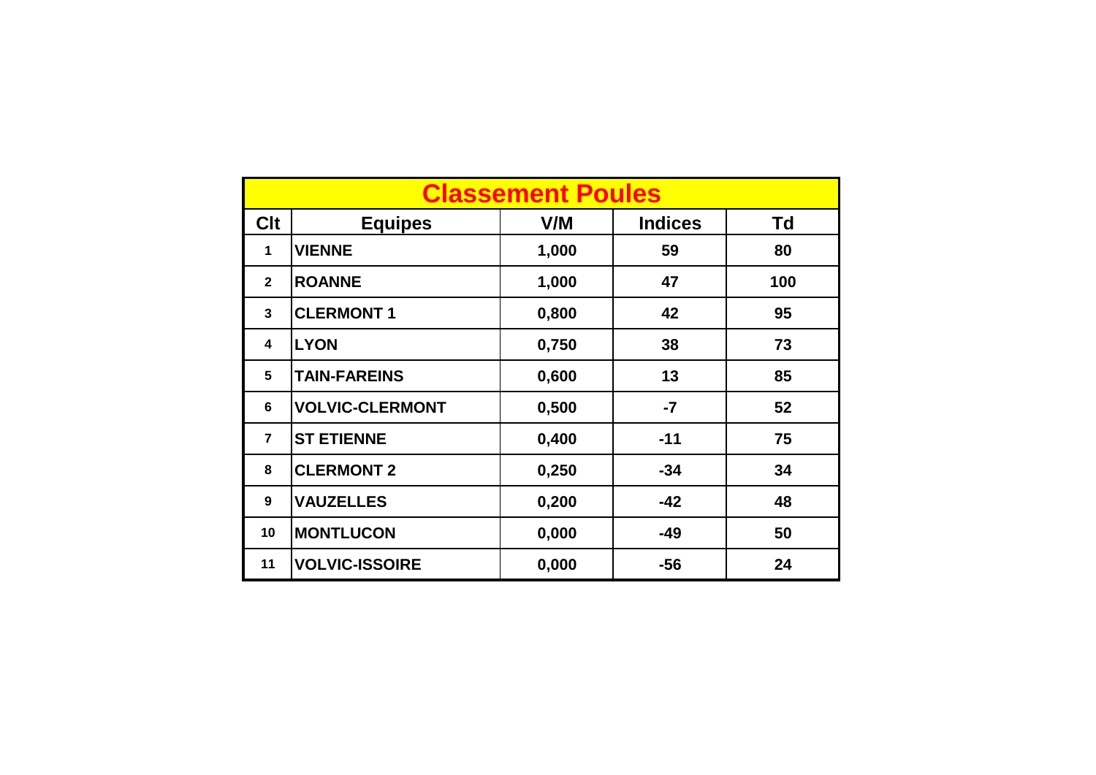|                | <b>Classement Poules</b> |       |                |     |  |  |  |  |  |  |  |
|----------------|--------------------------|-------|----------------|-----|--|--|--|--|--|--|--|
| <b>Clt</b>     | <b>Equipes</b>           | V/M   | <b>Indices</b> | Td  |  |  |  |  |  |  |  |
| 1              | <b>VIENNE</b>            | 1,000 | 59             | 80  |  |  |  |  |  |  |  |
| $\mathbf{2}$   | <b>ROANNE</b>            | 1,000 | 47             | 100 |  |  |  |  |  |  |  |
| 3              | <b>CLERMONT 1</b>        | 0,800 | 42             | 95  |  |  |  |  |  |  |  |
| 4              | <b>LYON</b>              | 0,750 | 38             | 73  |  |  |  |  |  |  |  |
| 5              | <b>TAIN-FAREINS</b>      | 0,600 | 13             | 85  |  |  |  |  |  |  |  |
| 6              | <b>VOLVIC-CLERMONT</b>   | 0,500 | $-7$           | 52  |  |  |  |  |  |  |  |
| $\overline{7}$ | <b>ST ETIENNE</b>        | 0,400 | $-11$          | 75  |  |  |  |  |  |  |  |
| 8              | <b>CLERMONT 2</b>        | 0,250 | $-34$          | 34  |  |  |  |  |  |  |  |
| 9              | <b>VAUZELLES</b>         | 0,200 | $-42$          | 48  |  |  |  |  |  |  |  |
| 10             | <b>MONTLUCON</b>         | 0,000 | -49            | 50  |  |  |  |  |  |  |  |
| 11             | <b>VOLVIC-ISSOIRE</b>    | 0,000 | -56            | 24  |  |  |  |  |  |  |  |